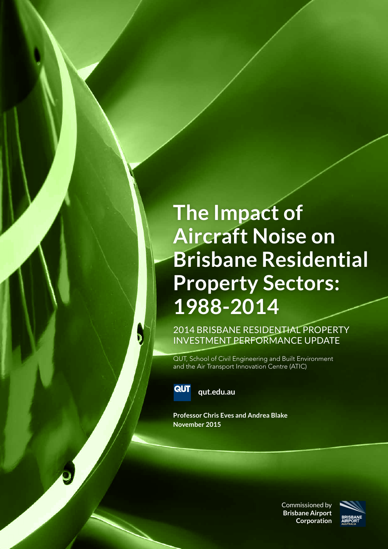### **The Impact of Aircraft Noise on Brisbane Residential Property Sectors: 1988-2014**

2014 BRISBANE RESIDENTIAL PROPERTY INVESTMENT PERFORMANCE UPDATE

QUT, School of Civil Engineering and Built Environment and the Air Transport Innovation Centre (ATIC)



**qut.edu.au**

**Professor Chris Eves and Andrea Blake November 2015**

> Commissioned by **Brisbane Airport Corporation**

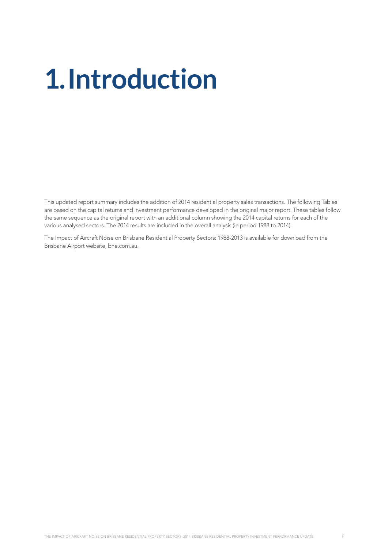# **1.Introduction**

This updated report summary includes the addition of 2014 residential property sales transactions. The following Tables are based on the capital returns and investment performance developed in the original major report. These tables follow the same sequence as the original report with an additional column showing the 2014 capital returns for each of the various analysed sectors. The 2014 results are included in the overall analysis (ie period 1988 to 2014).

The Impact of Aircraft Noise on Brisbane Residential Property Sectors: 1988-2013 is available for download from the Brisbane Airport website, bne.com.au.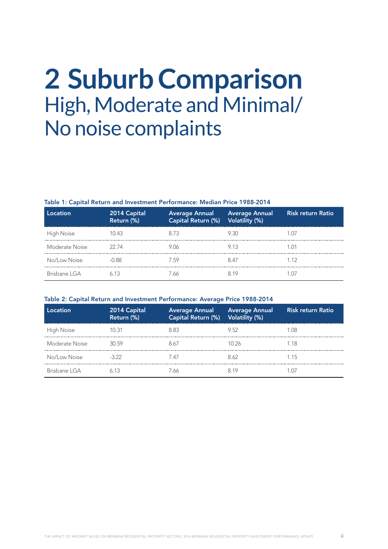### **2 Suburb Comparison**  High, Moderate and Minimal/ No noise complaints

#### Table 1: Capital Return and Investment Performance: Median Price 1988-2014

| Location       | 2014 Capital<br>Return (%) | Average Annual Average Annual<br>Capital Return (%) Volatility (%) |      | <b>Risk return Ratio</b> |
|----------------|----------------------------|--------------------------------------------------------------------|------|--------------------------|
| High Noise     | 10 43                      | 873                                                                | 9 30 |                          |
| Moderate Noise | 22.74                      | 9 N A                                                              |      |                          |
| No/Low Noise   | $-0.88$                    | 759                                                                |      | 1 12                     |
| Brisbane I GA  |                            | 66                                                                 |      |                          |

### Table 2: Capital Return and Investment Performance: Average Price 1988-2014

| ll ocationi    | 2014 Capital<br>Return (%) | Average Annual Average Annual<br>Capital Return (%) Volatility (%) |       | <b>Risk return Ratio</b> |
|----------------|----------------------------|--------------------------------------------------------------------|-------|--------------------------|
| High Noise     | 1N 31                      | 8 83                                                               | 952   | -08                      |
| Moderate Noise | 30 59                      | 8.67                                                               | 10.26 | 118                      |
| No/Low Noise   | $-3.22$                    | 747                                                                | 8 62  | 1 15                     |
| Brisbane I GA  |                            | 66                                                                 |       |                          |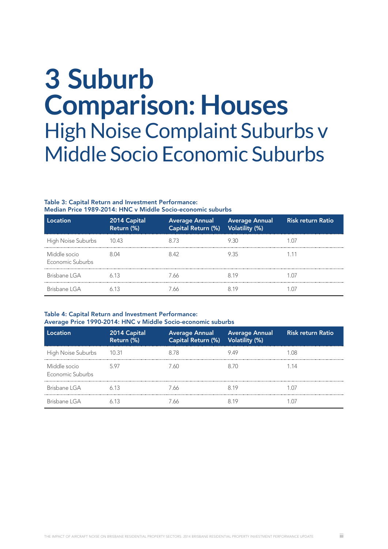### **3 Suburb Comparison: Houses**  High Noise Complaint Suburbs v Middle Socio Economic Suburbs

#### Table 3: Capital Return and Investment Performance: Median Price 1989-2014: HNC v Middle Socio-economic suburbs

| Location                         | 2014 Capital<br>Return (%) | Capital Return (%) Volatility (%) | Average Annual Average Annual | Risk return Ratio |
|----------------------------------|----------------------------|-----------------------------------|-------------------------------|-------------------|
| High Noise Suburbs               | 10.43                      | 873                               | 9 30                          |                   |
| Middle socio<br>Economic Suburbs |                            | 842                               | 935                           |                   |
| Brisbane LGA                     |                            | 7 66                              |                               |                   |
| Brisbane I GA                    |                            | ' 66                              |                               |                   |

### Table 4: Capital Return and Investment Performance: Average Price 1990-2014: HNC v Middle Socio-economic suburbs

| Location                         | 2014 Capital<br>Return (%) | Capital Return (%) Volatility (%) | Average Annual Average Annual | <b>Risk return Ratio</b> |
|----------------------------------|----------------------------|-----------------------------------|-------------------------------|--------------------------|
| High Noise Suburbs 10.31         |                            | 8.78                              | 949                           | 1 O8                     |
| Middle socio<br>Economic Suburbs | 597                        | 7 AN                              |                               | 1 14                     |
| Brisbane LGA                     | 613                        | 7 66                              | 8.19                          | 107                      |
| Brisbane I GA                    |                            |                                   |                               |                          |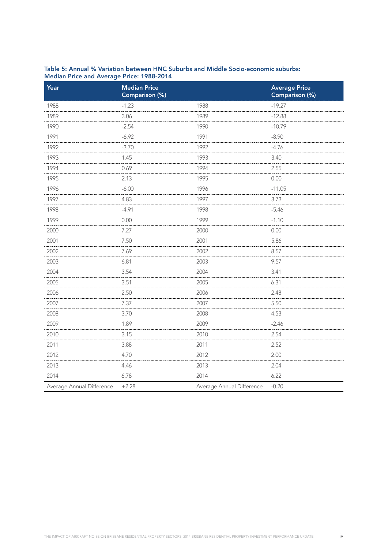| Year                      | <b>Median Price</b><br>Comparison (%) |                           | <b>Average Price</b><br>Comparison (%) |
|---------------------------|---------------------------------------|---------------------------|----------------------------------------|
| 1988                      | $-1.23$                               | 1988                      | $-19.27$                               |
| 1989                      | 3.06                                  | 1989                      | $-12.88$                               |
| 1990                      | $-2.54$                               | 1990                      | $-10.79$                               |
| 1991                      | $-6.92$                               | 1991                      | $-8.90$                                |
| 1992                      | $-3.70$                               | 1992                      | $-4.76$                                |
| 1993                      | 1.45                                  | 1993                      | 3.40                                   |
| 1994                      | 0.69                                  | 1994                      | 2.55                                   |
| 1995                      | 2.13                                  | 1995                      | 0.00                                   |
| 1996                      | $-6.00$                               | 1996                      | $-11.05$                               |
| 1997                      | 4.83                                  | 1997                      | 3.73                                   |
| 1998                      | $-4.91$                               | 1998                      | $-5.46$                                |
| 1999                      | 0.00                                  | 1999                      | $-1.10$                                |
| 2000                      | 7.27                                  | 2000                      | 0.00                                   |
| 2001                      | 7.50                                  | 2001                      | 5.86                                   |
| 2002                      | 7.69                                  | 2002                      | 8.57                                   |
| 2003                      | 6.81                                  | 2003                      | 9.57                                   |
| 2004                      | 3.54                                  | 2004                      | 3.41                                   |
| 2005                      | 3.51                                  | 2005                      | 6.31                                   |
| 2006                      | 2.50                                  | 2006                      | 2.48                                   |
| 2007                      | 7.37                                  | 2007                      | 5.50                                   |
| 2008                      | 3.70                                  | 2008                      | 4.53                                   |
| 2009                      | 1.89                                  | 2009                      | $-2.46$                                |
| 2010                      | 3.15                                  | 2010                      | 2.54                                   |
| 2011                      | 3.88                                  | 2011                      | 2.52                                   |
| 2012                      | 4.70                                  | 2012                      | 2.00                                   |
| 2013                      | 4.46                                  | 2013                      | 2.04                                   |
| 2014                      | 6.78                                  | 2014                      | 6.22                                   |
| Average Annual Difference | $+2.28$                               | Average Annual Difference | $-0.20$                                |

### Table 5: Annual % Variation between HNC Suburbs and Middle Socio-economic suburbs: Median Price and Average Price: 1988-2014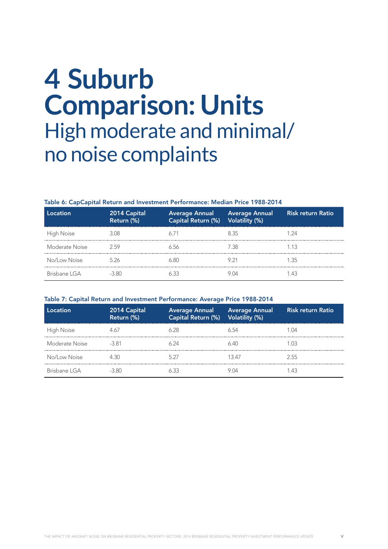### **4 Suburb Comparison: Units**  High moderate and minimal/ no noise complaints

#### Table 6: CapCapital Return and Investment Performance: Median Price 1988-2014

| Location       | 2014 Capital<br>Return (%) | Average Annual Average Annual<br>Capital Return (%) Volatility (%) |       | <b>Risk return Ratio</b> |
|----------------|----------------------------|--------------------------------------------------------------------|-------|--------------------------|
| High Noise     | 3 O.S                      |                                                                    | 835   | 24                       |
| Moderate Noise | 259                        | 6 56                                                               | 78. 1 | 1 13                     |
| No/Low Noise   | 526                        | . 80                                                               |       | 1 35                     |
| Brisbane I GA  | -3.80                      |                                                                    |       | ⊿ -                      |

### Table 7: Capital Return and Investment Performance: Average Price 1988-2014

| l ocation.     | 2014 Capital<br>Return (%) | Average Annual Average Annual<br>Capital Return (%) Volatility (%) |       | <b>Risk return Ratio</b> |
|----------------|----------------------------|--------------------------------------------------------------------|-------|--------------------------|
| High Noise     |                            |                                                                    |       |                          |
| Moderate Noise | $-3.81$                    |                                                                    |       |                          |
| No/Low Noise   | 430                        | 571                                                                | 13 47 | 2.55                     |
| Brisbane I GA  |                            |                                                                    |       |                          |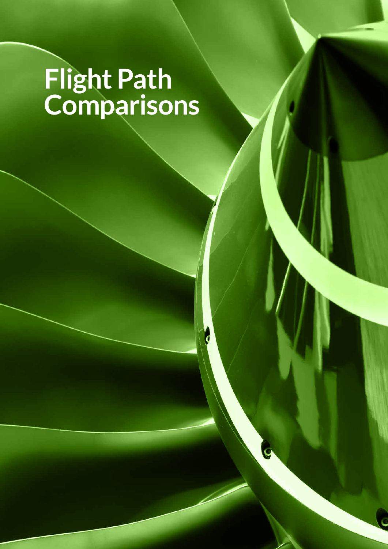# **Flight Path Comparisons**

d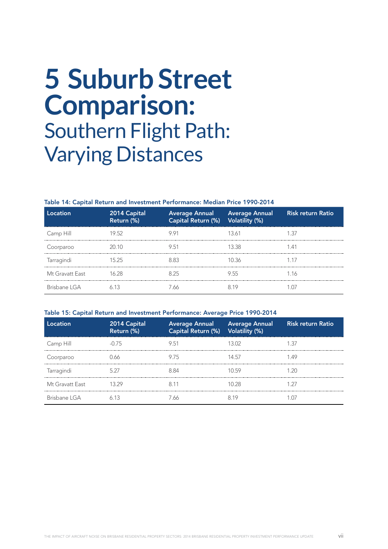### **5 Suburb Street Comparison:**  Southern Flight Path: Varying Distances

#### Table 14: Capital Return and Investment Performance: Median Price 1990-2014

| Location        | 2014 Capital<br>Return (%) | Capital Return (%) Volatility (%) | Average Annual Average Annual | <b>Risk return Ratio</b> |
|-----------------|----------------------------|-----------------------------------|-------------------------------|--------------------------|
| Camp Hill       | 19.52                      | 991                               | 13.61                         | 137                      |
| Coorparoo       | 20.10                      | 9.51                              | 13.38                         |                          |
| Tarragindi      | 15 25                      | 8 83                              | 10.36                         |                          |
| Mt Gravatt East | 16.28                      | 825                               | 955                           | 1.16                     |
| Brisbane I GA   |                            | 7 66                              |                               |                          |

### Table 15: Capital Return and Investment Performance: Average Price 1990-2014

| Location        | 2014 Capital<br>Return (%) | Capital Return (%) Volatility (%) | Average Annual Average Annual | <b>Risk return Ratio</b> |
|-----------------|----------------------------|-----------------------------------|-------------------------------|--------------------------|
| Camp Hill       | -0.75                      | 9.51                              |                               | 1.37                     |
| Coorparoo       | 166                        | 9.75                              | 14.57                         | 1.49                     |
| Tarragindi      | 5.27                       | 884                               | 1059                          | 1 20                     |
| Mt Gravatt Fast |                            | 8 1 1                             | 10.28                         |                          |
| Brisbane I GA   |                            |                                   |                               |                          |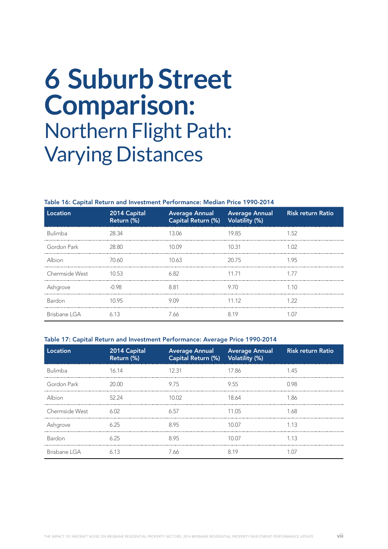### **6 Suburb Street Comparison:**  Northern Flight Path: Varying Distances

#### Table 16: Capital Return and Investment Performance: Median Price 1990-2014

| Location       | 2014 Capital<br>Return (%) | Capital Return (%) Volatility (%) | Average Annual Average Annual | <b>Risk return Ratio</b> |
|----------------|----------------------------|-----------------------------------|-------------------------------|--------------------------|
| <b>Bulimba</b> | 28.34                      | 13.06                             | 19.85                         | 1.52                     |
| Gordon Park    | 28.80                      | 10.09                             | 10.31                         | 1.02                     |
| Albion         | 70.60                      | 10.63                             | 20.75                         | 195                      |
| Chermside West | 10.53                      | 6.82                              | 11.71                         | 177                      |
| Ashgrove       | -0.98                      | 881                               | 970                           | 1 1 0                    |
| Bardon         | 10.95                      | 909                               | 11.12                         | 1 22                     |
| Brisbane LGA   | 6 13                       | 7 66                              |                               |                          |

### Table 17: Capital Return and Investment Performance: Average Price 1990-2014

| Location       | 2014 Capital<br>Return (%) | Capital Return (%) Volatility (%) | Average Annual Average Annual Risk return Ratio |      |
|----------------|----------------------------|-----------------------------------|-------------------------------------------------|------|
| Bulimba        | 16.14                      | 12.31                             | 17.86                                           | 145  |
| Gordon Park    | 20.00                      | 9.75                              | 9.55                                            | በ 98 |
| Albion         | 52.24                      | 10.02                             | 18.64                                           | 1 86 |
| Chermside West | 6.02                       | 6.57                              | 11.05                                           | 1 68 |
| Ashgrove       | 6.25                       | 895                               | 10 OZ                                           | 1 13 |
| <b>Bardon</b>  | 6.25                       | 8.95                              | 10.07                                           | 1.13 |
| Brisbane LGA   | 613                        | 7.66                              |                                                 |      |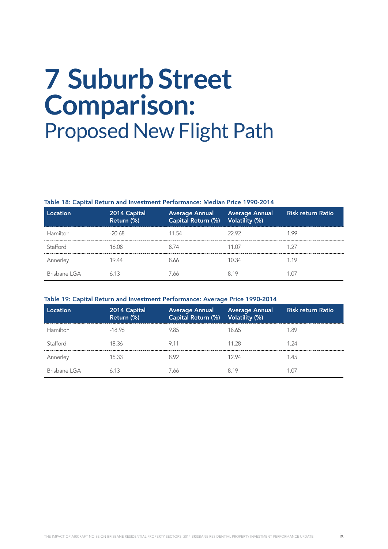# **7 Suburb Street Comparison:**  Proposed New Flight Path

### Table 18: Capital Return and Investment Performance: Median Price 1990-2014

| Location      | 2014 Capital<br>Return (%) | Average Annual Average Annual<br>Capital Return (%) Volatility (%) |       | <b>Risk return Ratio</b> |
|---------------|----------------------------|--------------------------------------------------------------------|-------|--------------------------|
| Hamilton      | $-20.68$                   | 11.54                                                              | 22.92 | 1 99                     |
| Stafford      | I A N R                    | 8 74                                                               | 11 N7 |                          |
| Annerley      | 19 44                      | 8 66                                                               | 1N 34 | 119                      |
| Brisbane I GA |                            |                                                                    |       |                          |

### Table 19: Capital Return and Investment Performance: Average Price 1990-2014

| Location      | 2014 Capital<br>Return (%) | Average Annual Average Annual<br>Capital Return (%) Volatility (%) |       | <b>Risk return Ratio</b> |
|---------------|----------------------------|--------------------------------------------------------------------|-------|--------------------------|
| Hamilton      | $-18.96$                   | 985                                                                | 18 65 | -89                      |
| Stafford      | 18 36                      |                                                                    | 11 28 | - 24                     |
| Annerley      | 15.33                      | 892                                                                | 12 94 | 1 45                     |
| Brisbane I GA |                            | 66                                                                 |       |                          |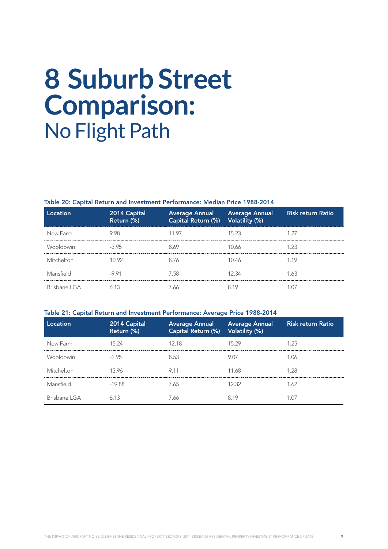## **8 Suburb Street Comparison:**  No Flight Path

### Table 20: Capital Return and Investment Performance: Median Price 1988-2014

| Location     | $ $ 2014 $\bar{\textsf{Capital}}_{\parallel}$<br>Return (%) | Capital Return (%) Volatility (%) | Average Annual Average Annual | <b>Risk return Ratio</b> |
|--------------|-------------------------------------------------------------|-----------------------------------|-------------------------------|--------------------------|
| New Farm     | 9 98                                                        | 11 97                             | 15 23                         |                          |
| Wooloowin    | -395                                                        | 8 69                              | IN 66                         | 1 23                     |
| Mitchelton   | 10 92                                                       | 8 76                              | 10 46                         | 1 19                     |
| Mansfield    | $-9.91$                                                     | 7.58                              | 12.34                         | 1.63                     |
| Brisbane LGA |                                                             | 7.66                              |                               |                          |

### Table 21: Capital Return and Investment Performance: Average Price 1988-2014

| Location      | 2014 Capital<br>Return (%) | Capital Return (%) Volatility (%) | Average Annual Average Annual | <b>Risk return Ratio</b> |
|---------------|----------------------------|-----------------------------------|-------------------------------|--------------------------|
| New Farm      | 15 24                      | 12 18                             | 15 29                         | 1 25                     |
| Wooloowin     | $-295$                     | 853                               | 9.07                          | 1 N6                     |
| Mitchelton    | 1396                       | 91                                | 11 68                         | l 28                     |
| Mansfield     | $-19.88$                   | 7.65                              | 12 32                         | 1 62                     |
| Brisbane I GA |                            |                                   |                               |                          |